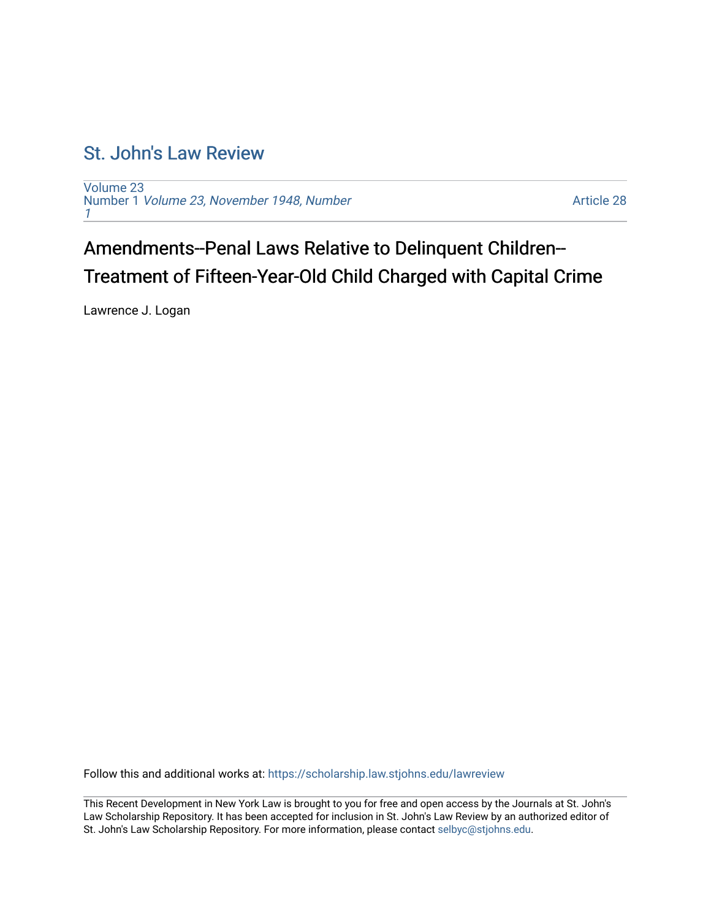## [St. John's Law Review](https://scholarship.law.stjohns.edu/lawreview)

[Volume 23](https://scholarship.law.stjohns.edu/lawreview/vol23) Number 1 [Volume 23, November 1948, Number](https://scholarship.law.stjohns.edu/lawreview/vol23/iss1) [1](https://scholarship.law.stjohns.edu/lawreview/vol23/iss1)

[Article 28](https://scholarship.law.stjohns.edu/lawreview/vol23/iss1/28) 

## Amendments--Penal Laws Relative to Delinquent Children-- Treatment of Fifteen-Year-Old Child Charged with Capital Crime

Lawrence J. Logan

Follow this and additional works at: [https://scholarship.law.stjohns.edu/lawreview](https://scholarship.law.stjohns.edu/lawreview?utm_source=scholarship.law.stjohns.edu%2Flawreview%2Fvol23%2Fiss1%2F28&utm_medium=PDF&utm_campaign=PDFCoverPages) 

This Recent Development in New York Law is brought to you for free and open access by the Journals at St. John's Law Scholarship Repository. It has been accepted for inclusion in St. John's Law Review by an authorized editor of St. John's Law Scholarship Repository. For more information, please contact [selbyc@stjohns.edu](mailto:selbyc@stjohns.edu).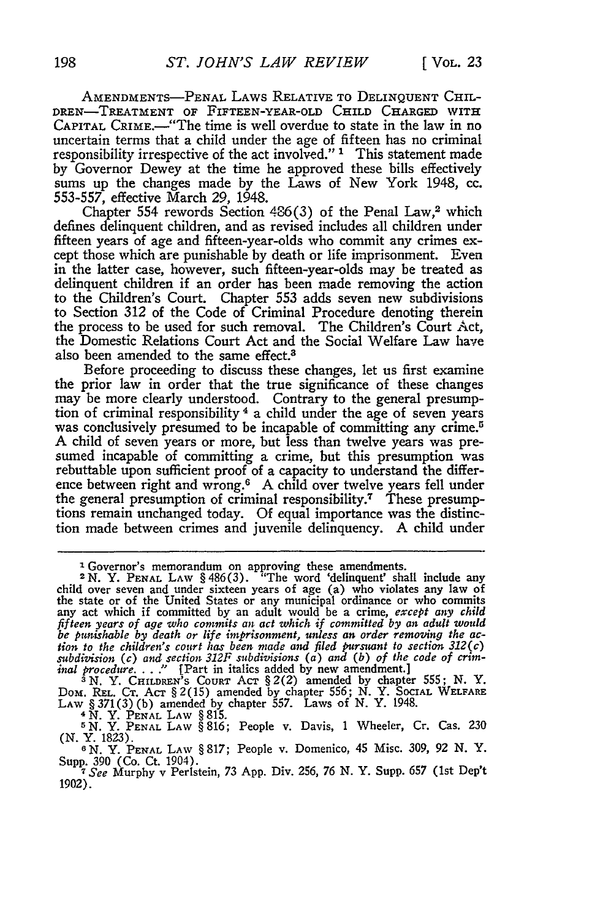AMENDMENTS-PENAL LAWS RELATIVE TO **DELINQUENT** CHIL-DREN-TREATMENT OF FIFTEEN-YEAR-OLD CHILD CHARGED WITH CAPITAL CRImE.-"The time is well overdue to state in the law in no uncertain terms that a child under the age of fifteen has no criminal responsibility irrespective of the act involved." **1** This statement made by Governor Dewey at the time he approved these bills effectively sums up the changes made by the Laws of New York 1948, cc. 553-557, effective March 29, 1948.

Chapter 554 rewords Section  $486(3)$  of the Penal Law,<sup>2</sup> which defines delinquent children, and as revised includes all children under fifteen years of age and fifteen-year-olds who commit any crimes except those which are punishable by death or life imprisonment. Even in the latter case, however, such fifteen-year-olds may be treated as delinquent children if an order has been made removing the action to the Children's Court. Chapter 553 adds seven new subdivisions to Section **312** of the Code of Criminal Procedure denoting therein the process to be used for such removal. The Children's Court Act, the Domestic Relations Court Act and the Social Welfare Law have also been amended to the same effect.<sup>3</sup>

Before proceeding to discuss these changes, let us first examine the prior law in order that the true significance of these changes may be more clearly understood. Contrary to the general presumption of criminal responsibility 4 a child under the age of seven years was conclusively presumed to be incapable of committing any crime. A child of seven years or more, but less than twelve years was presumed incapable of committing a crime, but this presumption was rebuttable upon sufficient proof of a capacity to understand the difference between right and wrong.<sup>6</sup> A child over twelve years fell under the general presumption of criminal responsibility.7 These presumptions remain unchanged today. Of equal importance was the distinction made between crimes and juvenile delinquency. A child under

*inal procedure .. "* [Part in italics added by new amendment.] **<sup>3</sup>N.** Y. **CHILDREN'S** COURT AcT *§* 2(2) amended by chapter 555; **N.** Y. Dom. REL. CT. ACT § 2(15) amended by chapter 556; N. Y. Social WELFARE<br>LAW § 371(3) (b) amended by chapter 557. Laws of N. Y. 1948.<br>4 N. Y. PENAL LAW § 815.<br>5 N. Y. PENAL LAW § 816; People v. Davis, 1 Wheeler, Cr. Cas. 230

(N. Y. 1823). *<sup>6</sup>***N.** Y. **PENAL** LAW *§* 817; People v. Domenico, 45 Misc. 309, 92 **N.** Y.

Supp. 390 (Co. Ct. 1904). *<sup>7</sup>See* Murphy v Perlstein, 73 App. Div. 256, 76 N. Y. Supp. 657 (1st Dep't

1902).

**<sup>I</sup>**Governor's memorandum on approving these amendments. 2 N. Y. **PENAL** LAW *§* 486(3). "The word 'delinquent' shall include any child over seven and under sixteen years of age (a) who violates any law of the state or of the United States or any municipal ordinance or who commits<br>any act which if committed by an adult would be a crime, except any child<br>fifteen years of age who commits an act which if committed by an adult w *be punishable by death or life imprisonment, unless an order removing the ac- tion to the children's court has been made and filed pursuant to section 312(c) subdivision (c) and section 312F subdivisions (a) and (b) of the code of crim-*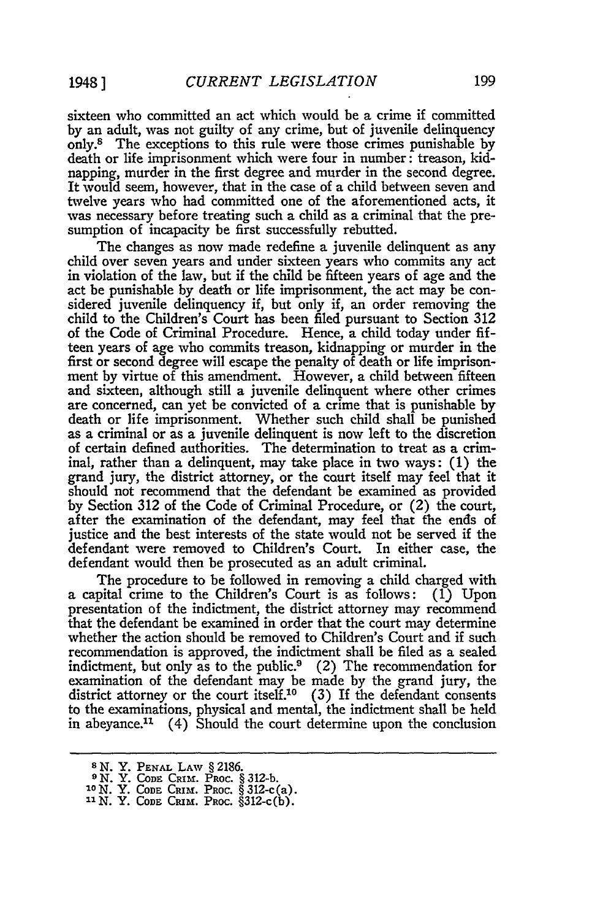sixteen who committed an act which would be a crime if committed by an adult, was not guilty of any crime, but of juvenile delinquency only.8 The exceptions to this rule were those crimes punishable by death or life imprisonment which were four in number: treason, kidnapping, murder in the first degree and murder in the second degree. It would seem, however, that in the case of a child between seven and twelve years who had committed one of the aforementioned acts, it was necessary before treating such a child as a criminal that the presumption of incapacity be first successfully rebutted.

The changes as now made redefine a juvenile delinquent as any child over seven years and under sixteen years who commits any act in violation of the law, but if the child be fifteen years of age and the act be punishable by death or life imprisonment, the act may be considered juvenile delinquency if, but only if, an order removing the child to the Children's Court has been filed pursuant to Section 312 of the Code of Criminal Procedure. Hence, a child today under fifteen years of age who commits treason, kidnapping or murder in the first or second degree will escape the penalty of death or life imprisonment by virtue of this amendment. However, a child between fifteen and sixteen, although still a juvenile delinquent where other crimes are concerned, can yet be convicted of a crime that is punishable by death or life imprisonment. Whether such child shall be punished as a criminal or as a juvenile delinquent is now left to the discretion of certain defined authorities. The determination to treat as a criminal, rather than a delinquent, may take place in two ways: (1) the grand jury, the district attorney, or the court itself may feel that it should not recommend that the defendant be examined as provided by Section 312 of the Code of Criminal Procedure, or (2) the court, after the examination of the defendant, may feel that the ends of justice and the best interests of the state would not be served if the defendant were removed to Children's Court. In either case, the defendant would then be prosecuted as an adult criminal.

The procedure to be followed in removing a child charged with a capital crime to the Children's Court is as follows: **(1)** Upon presentation of the indictment, the district attorney may recommend that the defendant be examined in order that the court may determine whether the action should be removed to Children's Court and if such recommendation is approved, the indictment shall be filed as a sealed indictment, but only as to the public.<sup>9</sup>  $(2)$  The recommendation for examination of the defendant may be made by the grand jury, the district attorney or the court itself.<sup>10</sup> (3) If the defendant consents to the examinations, physical and mental, the indictment shall be held in abeyance.<sup>11</sup> (4) Should the court determine upon the conclusion

*<sup>8</sup>*N. Y. **PENAL LAW** § 2186.

*<sup>9</sup> N.* Y. **CODE CRIM. PROC.** § 312-b. *ION.* Y. **CODE CRIM. PROC. §** 312-c(a). *11 N.* Y. **CODE** CRIM. PRoc. §312-c(b).